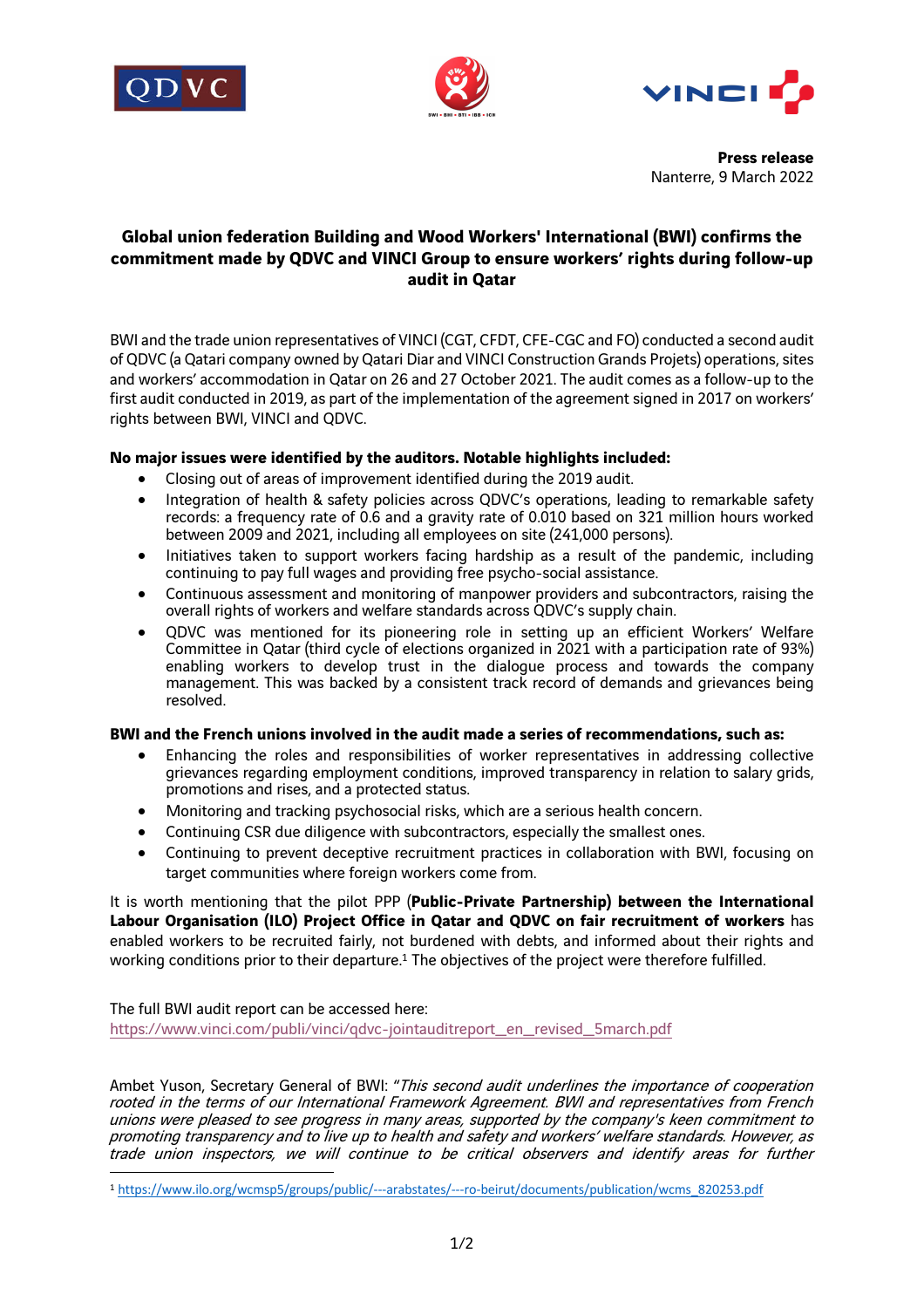





**Press release** Nanterre, 9 March 2022

# **Global union federation Building and Wood Workers' International (BWI) confirms the commitment made by QDVC and VINCI Group to ensure workers' rights during follow-up audit in Qatar**

BWI and the trade union representatives of VINCI (CGT, CFDT, CFE-CGC and FO) conducted a second audit of QDVC (a Qatari company owned by Qatari Diar and VINCI Construction Grands Projets) operations, sites and workers' accommodation in Qatar on 26 and 27 October 2021. The audit comes as a follow-up to the first audit conducted in 2019, as part of the implementation of the agreement signed in 2017 on workers' rights between BWI, VINCI and QDVC.

## **No major issues were identified by the auditors. Notable highlights included:**

- Closing out of areas of improvement identified during the 2019 audit.
- Integration of health & safety policies across QDVC's operations, leading to remarkable safety records: a frequency rate of 0.6 and a gravity rate of 0.010 based on 321 million hours worked between 2009 and 2021, including all employees on site (241,000 persons).
- Initiatives taken to support workers facing hardship as a result of the pandemic, including continuing to pay full wages and providing free psycho-social assistance.
- Continuous assessment and monitoring of manpower providers and subcontractors, raising the overall rights of workers and welfare standards across QDVC's supply chain.
- QDVC was mentioned for its pioneering role in setting up an efficient Workers' Welfare Committee in Qatar (third cycle of elections organized in 2021 with a participation rate of 93%) enabling workers to develop trust in the dialogue process and towards the company management. This was backed by a consistent track record of demands and grievances being resolved.

## **BWI and the French unions involved in the audit made a series of recommendations, such as:**

- Enhancing the roles and responsibilities of worker representatives in addressing collective grievances regarding employment conditions, improved transparency in relation to salary grids, promotions and rises, and a protected status.
- Monitoring and tracking psychosocial risks, which are a serious health concern.
- Continuing CSR due diligence with subcontractors, especially the smallest ones.
- Continuing to prevent deceptive recruitment practices in collaboration with BWI, focusing on target communities where foreign workers come from.

It is worth mentioning that the pilot PPP (**Public-Private Partnership) between the International Labour Organisation (ILO) Project Office in Qatar and QDVC on fair recruitment of workers** has enabled workers to be recruited fairly, not burdened with debts, and informed about their rights and working conditions prior to their departure.<sup>1</sup> The objectives of the project were therefore fulfilled.

The full BWI audit report can be accessed here: https://www.vinci.com/publi/vinci/qdvc-jointauditreport\_en\_revised\_5march.pdf

Ambet Yuson, Secretary General of BWI: "This second audit underlines the importance of cooperation rooted in the terms of our International Framework Agreement. BWI and representatives from French unions were pleased to see progress in many areas, supported by the company's keen commitment to promoting transparency and to live up to health and safety and workers' welfare standards. However, as trade union inspectors, we will continue to be critical observers and identify areas for further

<sup>1</sup> https://www.ilo.org/wcmsp5/groups/public/---arabstates/---ro-beirut/documents/publication/wcms\_820253.pdf